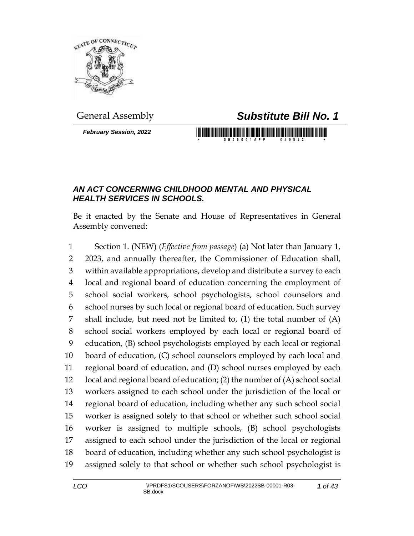

*February Session, 2022*

## General Assembly *Substitute Bill No. 1*

## *AN ACT CONCERNING CHILDHOOD MENTAL AND PHYSICAL HEALTH SERVICES IN SCHOOLS.*

Be it enacted by the Senate and House of Representatives in General Assembly convened:

 Section 1. (NEW) (*Effective from passage*) (a) Not later than January 1, 2023, and annually thereafter, the Commissioner of Education shall, within available appropriations, develop and distribute a survey to each local and regional board of education concerning the employment of school social workers, school psychologists, school counselors and school nurses by such local or regional board of education. Such survey shall include, but need not be limited to, (1) the total number of (A) school social workers employed by each local or regional board of education, (B) school psychologists employed by each local or regional board of education, (C) school counselors employed by each local and regional board of education, and (D) school nurses employed by each local and regional board of education; (2) the number of (A) school social workers assigned to each school under the jurisdiction of the local or regional board of education, including whether any such school social worker is assigned solely to that school or whether such school social worker is assigned to multiple schools, (B) school psychologists assigned to each school under the jurisdiction of the local or regional board of education, including whether any such school psychologist is assigned solely to that school or whether such school psychologist is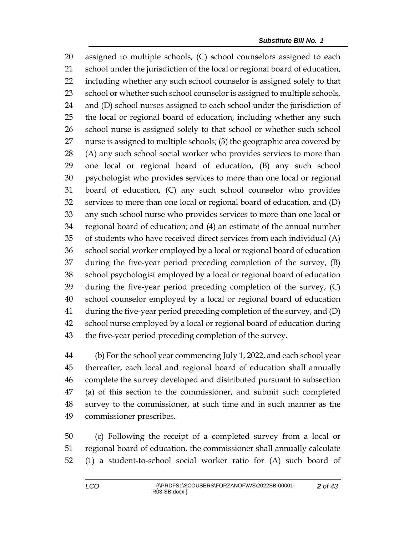assigned to multiple schools, (C) school counselors assigned to each school under the jurisdiction of the local or regional board of education, including whether any such school counselor is assigned solely to that 23 school or whether such school counselor is assigned to multiple schools, and (D) school nurses assigned to each school under the jurisdiction of the local or regional board of education, including whether any such school nurse is assigned solely to that school or whether such school nurse is assigned to multiple schools; (3) the geographic area covered by (A) any such school social worker who provides services to more than one local or regional board of education, (B) any such school psychologist who provides services to more than one local or regional board of education, (C) any such school counselor who provides services to more than one local or regional board of education, and (D) any such school nurse who provides services to more than one local or regional board of education; and (4) an estimate of the annual number of students who have received direct services from each individual (A) school social worker employed by a local or regional board of education during the five-year period preceding completion of the survey, (B) school psychologist employed by a local or regional board of education during the five-year period preceding completion of the survey, (C) school counselor employed by a local or regional board of education during the five-year period preceding completion of the survey, and (D) school nurse employed by a local or regional board of education during the five-year period preceding completion of the survey.

 (b) For the school year commencing July 1, 2022, and each school year thereafter, each local and regional board of education shall annually complete the survey developed and distributed pursuant to subsection (a) of this section to the commissioner, and submit such completed survey to the commissioner, at such time and in such manner as the commissioner prescribes.

 (c) Following the receipt of a completed survey from a local or regional board of education, the commissioner shall annually calculate (1) a student-to-school social worker ratio for (A) such board of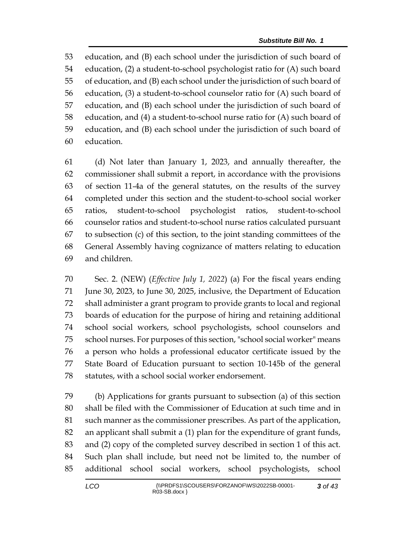education, and (B) each school under the jurisdiction of such board of education, (2) a student-to-school psychologist ratio for (A) such board of education, and (B) each school under the jurisdiction of such board of education, (3) a student-to-school counselor ratio for (A) such board of education, and (B) each school under the jurisdiction of such board of education, and (4) a student-to-school nurse ratio for (A) such board of education, and (B) each school under the jurisdiction of such board of education.

 (d) Not later than January 1, 2023, and annually thereafter, the commissioner shall submit a report, in accordance with the provisions of section 11-4a of the general statutes, on the results of the survey completed under this section and the student-to-school social worker ratios, student-to-school psychologist ratios, student-to-school counselor ratios and student-to-school nurse ratios calculated pursuant to subsection (c) of this section, to the joint standing committees of the General Assembly having cognizance of matters relating to education and children.

 Sec. 2. (NEW) (*Effective July 1, 2022*) (a) For the fiscal years ending June 30, 2023, to June 30, 2025, inclusive, the Department of Education shall administer a grant program to provide grants to local and regional boards of education for the purpose of hiring and retaining additional school social workers, school psychologists, school counselors and school nurses. For purposes of this section, "school social worker" means a person who holds a professional educator certificate issued by the State Board of Education pursuant to section 10-145b of the general statutes, with a school social worker endorsement.

 (b) Applications for grants pursuant to subsection (a) of this section shall be filed with the Commissioner of Education at such time and in such manner as the commissioner prescribes. As part of the application, an applicant shall submit a (1) plan for the expenditure of grant funds, and (2) copy of the completed survey described in section 1 of this act. Such plan shall include, but need not be limited to, the number of additional school social workers, school psychologists, school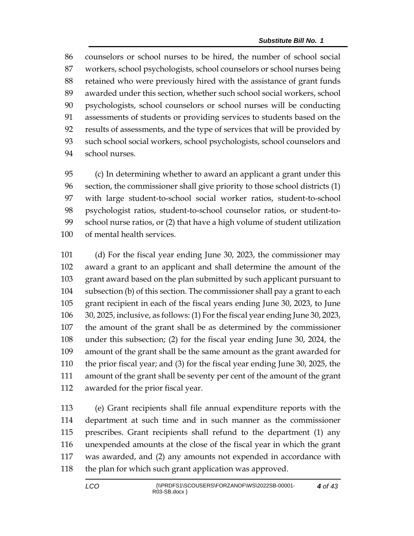counselors or school nurses to be hired, the number of school social workers, school psychologists, school counselors or school nurses being retained who were previously hired with the assistance of grant funds awarded under this section, whether such school social workers, school psychologists, school counselors or school nurses will be conducting assessments of students or providing services to students based on the results of assessments, and the type of services that will be provided by such school social workers, school psychologists, school counselors and school nurses.

 (c) In determining whether to award an applicant a grant under this section, the commissioner shall give priority to those school districts (1) with large student-to-school social worker ratios, student-to-school psychologist ratios, student-to-school counselor ratios, or student-to- school nurse ratios, or (2) that have a high volume of student utilization of mental health services.

 (d) For the fiscal year ending June 30, 2023, the commissioner may award a grant to an applicant and shall determine the amount of the grant award based on the plan submitted by such applicant pursuant to subsection (b) of this section. The commissioner shall pay a grant to each grant recipient in each of the fiscal years ending June 30, 2023, to June 30, 2025, inclusive, as follows: (1) For the fiscal year ending June 30, 2023, the amount of the grant shall be as determined by the commissioner under this subsection; (2) for the fiscal year ending June 30, 2024, the amount of the grant shall be the same amount as the grant awarded for the prior fiscal year; and (3) for the fiscal year ending June 30, 2025, the amount of the grant shall be seventy per cent of the amount of the grant awarded for the prior fiscal year.

 (e) Grant recipients shall file annual expenditure reports with the department at such time and in such manner as the commissioner prescribes. Grant recipients shall refund to the department (1) any unexpended amounts at the close of the fiscal year in which the grant was awarded, and (2) any amounts not expended in accordance with 118 the plan for which such grant application was approved.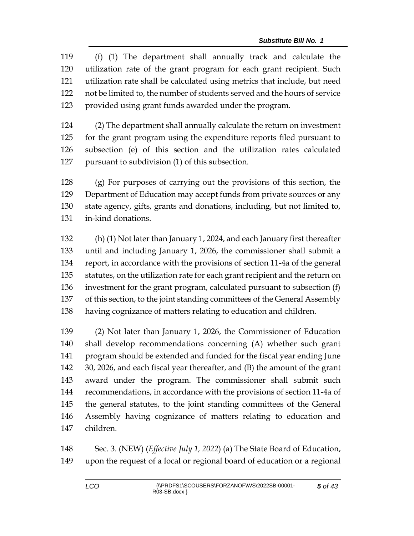(f) (1) The department shall annually track and calculate the utilization rate of the grant program for each grant recipient. Such utilization rate shall be calculated using metrics that include, but need not be limited to, the number of students served and the hours of service provided using grant funds awarded under the program.

 (2) The department shall annually calculate the return on investment for the grant program using the expenditure reports filed pursuant to subsection (e) of this section and the utilization rates calculated pursuant to subdivision (1) of this subsection.

 (g) For purposes of carrying out the provisions of this section, the Department of Education may accept funds from private sources or any state agency, gifts, grants and donations, including, but not limited to, in-kind donations.

 (h) (1) Not later than January 1, 2024, and each January first thereafter until and including January 1, 2026, the commissioner shall submit a report, in accordance with the provisions of section 11-4a of the general statutes, on the utilization rate for each grant recipient and the return on investment for the grant program, calculated pursuant to subsection (f) of this section, to the joint standing committees of the General Assembly having cognizance of matters relating to education and children.

 (2) Not later than January 1, 2026, the Commissioner of Education shall develop recommendations concerning (A) whether such grant program should be extended and funded for the fiscal year ending June 30, 2026, and each fiscal year thereafter, and (B) the amount of the grant award under the program. The commissioner shall submit such recommendations, in accordance with the provisions of section 11-4a of the general statutes, to the joint standing committees of the General Assembly having cognizance of matters relating to education and children.

 Sec. 3. (NEW) (*Effective July 1, 2022*) (a) The State Board of Education, upon the request of a local or regional board of education or a regional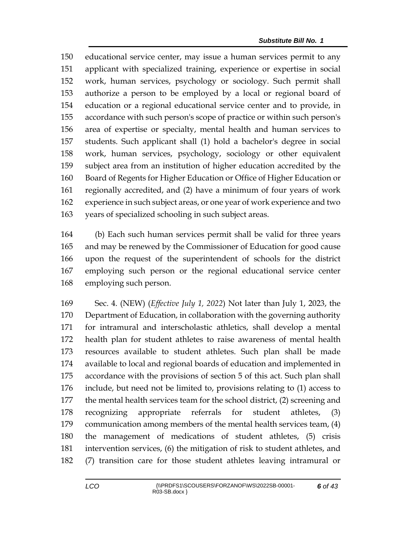educational service center, may issue a human services permit to any applicant with specialized training, experience or expertise in social work, human services, psychology or sociology. Such permit shall authorize a person to be employed by a local or regional board of education or a regional educational service center and to provide, in accordance with such person's scope of practice or within such person's area of expertise or specialty, mental health and human services to students. Such applicant shall (1) hold a bachelor's degree in social work, human services, psychology, sociology or other equivalent subject area from an institution of higher education accredited by the Board of Regents for Higher Education or Office of Higher Education or regionally accredited, and (2) have a minimum of four years of work experience in such subject areas, or one year of work experience and two years of specialized schooling in such subject areas.

 (b) Each such human services permit shall be valid for three years and may be renewed by the Commissioner of Education for good cause upon the request of the superintendent of schools for the district employing such person or the regional educational service center employing such person.

 Sec. 4. (NEW) (*Effective July 1, 2022*) Not later than July 1, 2023, the Department of Education, in collaboration with the governing authority for intramural and interscholastic athletics, shall develop a mental health plan for student athletes to raise awareness of mental health resources available to student athletes. Such plan shall be made available to local and regional boards of education and implemented in accordance with the provisions of section 5 of this act. Such plan shall include, but need not be limited to, provisions relating to (1) access to the mental health services team for the school district, (2) screening and recognizing appropriate referrals for student athletes, (3) communication among members of the mental health services team, (4) the management of medications of student athletes, (5) crisis intervention services, (6) the mitigation of risk to student athletes, and (7) transition care for those student athletes leaving intramural or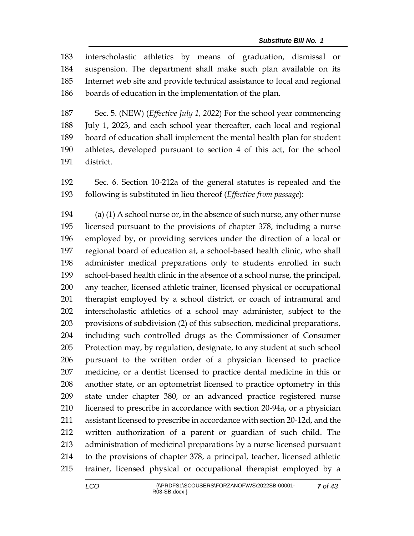interscholastic athletics by means of graduation, dismissal or suspension. The department shall make such plan available on its Internet web site and provide technical assistance to local and regional boards of education in the implementation of the plan.

 Sec. 5. (NEW) (*Effective July 1, 2022*) For the school year commencing July 1, 2023, and each school year thereafter, each local and regional board of education shall implement the mental health plan for student athletes, developed pursuant to section 4 of this act, for the school district.

 Sec. 6. Section 10-212a of the general statutes is repealed and the following is substituted in lieu thereof (*Effective from passage*):

194 (a) (1) A school nurse or, in the absence of such nurse, any other nurse licensed pursuant to the provisions of chapter 378, including a nurse employed by, or providing services under the direction of a local or regional board of education at, a school-based health clinic, who shall administer medical preparations only to students enrolled in such school-based health clinic in the absence of a school nurse, the principal, any teacher, licensed athletic trainer, licensed physical or occupational therapist employed by a school district, or coach of intramural and interscholastic athletics of a school may administer, subject to the provisions of subdivision (2) of this subsection, medicinal preparations, including such controlled drugs as the Commissioner of Consumer Protection may, by regulation, designate, to any student at such school pursuant to the written order of a physician licensed to practice medicine, or a dentist licensed to practice dental medicine in this or another state, or an optometrist licensed to practice optometry in this state under chapter 380, or an advanced practice registered nurse licensed to prescribe in accordance with section 20-94a, or a physician assistant licensed to prescribe in accordance with section 20-12d, and the written authorization of a parent or guardian of such child. The administration of medicinal preparations by a nurse licensed pursuant to the provisions of chapter 378, a principal, teacher, licensed athletic trainer, licensed physical or occupational therapist employed by a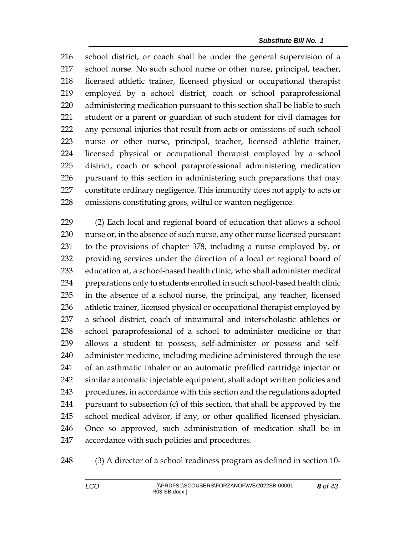school district, or coach shall be under the general supervision of a school nurse. No such school nurse or other nurse, principal, teacher, licensed athletic trainer, licensed physical or occupational therapist employed by a school district, coach or school paraprofessional administering medication pursuant to this section shall be liable to such student or a parent or guardian of such student for civil damages for any personal injuries that result from acts or omissions of such school nurse or other nurse, principal, teacher, licensed athletic trainer, licensed physical or occupational therapist employed by a school district, coach or school paraprofessional administering medication pursuant to this section in administering such preparations that may constitute ordinary negligence. This immunity does not apply to acts or omissions constituting gross, wilful or wanton negligence.

 (2) Each local and regional board of education that allows a school nurse or, in the absence of such nurse, any other nurse licensed pursuant to the provisions of chapter 378, including a nurse employed by, or providing services under the direction of a local or regional board of education at, a school-based health clinic, who shall administer medical preparations only to students enrolled in such school-based health clinic in the absence of a school nurse, the principal, any teacher, licensed athletic trainer, licensed physical or occupational therapist employed by a school district, coach of intramural and interscholastic athletics or school paraprofessional of a school to administer medicine or that allows a student to possess, self-administer or possess and self- administer medicine, including medicine administered through the use of an asthmatic inhaler or an automatic prefilled cartridge injector or similar automatic injectable equipment, shall adopt written policies and procedures, in accordance with this section and the regulations adopted pursuant to subsection (c) of this section, that shall be approved by the school medical advisor, if any, or other qualified licensed physician. Once so approved, such administration of medication shall be in accordance with such policies and procedures.

(3) A director of a school readiness program as defined in section 10-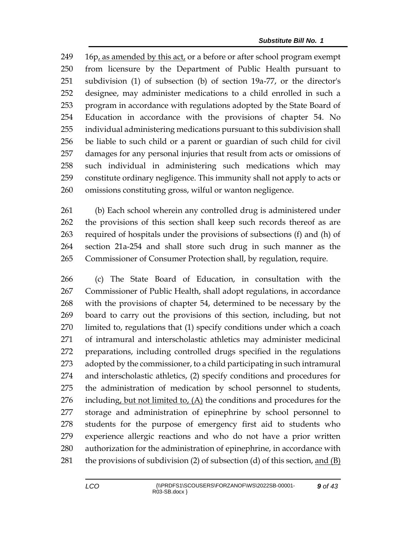16p, as amended by this act, or a before or after school program exempt from licensure by the Department of Public Health pursuant to subdivision (1) of subsection (b) of section 19a-77, or the director's designee, may administer medications to a child enrolled in such a program in accordance with regulations adopted by the State Board of Education in accordance with the provisions of chapter 54. No individual administering medications pursuant to this subdivision shall be liable to such child or a parent or guardian of such child for civil damages for any personal injuries that result from acts or omissions of such individual in administering such medications which may constitute ordinary negligence. This immunity shall not apply to acts or omissions constituting gross, wilful or wanton negligence.

 (b) Each school wherein any controlled drug is administered under the provisions of this section shall keep such records thereof as are required of hospitals under the provisions of subsections (f) and (h) of section 21a-254 and shall store such drug in such manner as the Commissioner of Consumer Protection shall, by regulation, require.

 (c) The State Board of Education, in consultation with the Commissioner of Public Health, shall adopt regulations, in accordance with the provisions of chapter 54, determined to be necessary by the board to carry out the provisions of this section, including, but not limited to, regulations that (1) specify conditions under which a coach of intramural and interscholastic athletics may administer medicinal preparations, including controlled drugs specified in the regulations adopted by the commissioner, to a child participating in such intramural and interscholastic athletics, (2) specify conditions and procedures for the administration of medication by school personnel to students, 276 including, but not limited to,  $(A)$  the conditions and procedures for the storage and administration of epinephrine by school personnel to students for the purpose of emergency first aid to students who experience allergic reactions and who do not have a prior written authorization for the administration of epinephrine, in accordance with 281 the provisions of subdivision (2) of subsection (d) of this section, and  $(B)$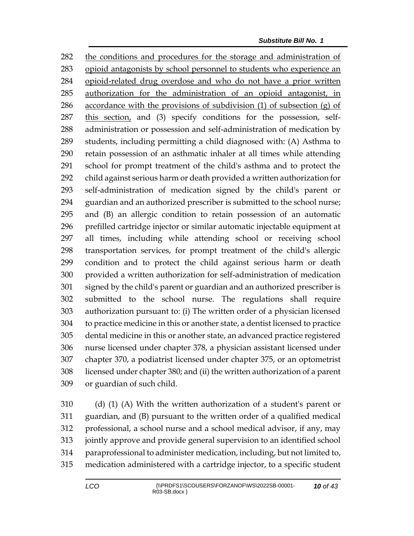the conditions and procedures for the storage and administration of opioid antagonists by school personnel to students who experience an opioid-related drug overdose and who do not have a prior written authorization for the administration of an opioid antagonist, in 286 accordance with the provisions of subdivision  $(1)$  of subsection  $(g)$  of 287 this section, and (3) specify conditions for the possession, self- administration or possession and self-administration of medication by students, including permitting a child diagnosed with: (A) Asthma to retain possession of an asthmatic inhaler at all times while attending school for prompt treatment of the child's asthma and to protect the child against serious harm or death provided a written authorization for self-administration of medication signed by the child's parent or guardian and an authorized prescriber is submitted to the school nurse; and (B) an allergic condition to retain possession of an automatic prefilled cartridge injector or similar automatic injectable equipment at all times, including while attending school or receiving school transportation services, for prompt treatment of the child's allergic condition and to protect the child against serious harm or death provided a written authorization for self-administration of medication signed by the child's parent or guardian and an authorized prescriber is submitted to the school nurse. The regulations shall require authorization pursuant to: (i) The written order of a physician licensed to practice medicine in this or another state, a dentist licensed to practice dental medicine in this or another state, an advanced practice registered nurse licensed under chapter 378, a physician assistant licensed under chapter 370, a podiatrist licensed under chapter 375, or an optometrist licensed under chapter 380; and (ii) the written authorization of a parent or guardian of such child.

 (d) (1) (A) With the written authorization of a student's parent or guardian, and (B) pursuant to the written order of a qualified medical professional, a school nurse and a school medical advisor, if any, may jointly approve and provide general supervision to an identified school paraprofessional to administer medication, including, but not limited to, medication administered with a cartridge injector, to a specific student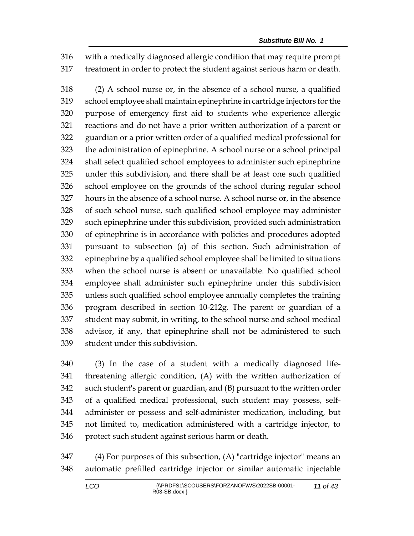with a medically diagnosed allergic condition that may require prompt treatment in order to protect the student against serious harm or death.

 (2) A school nurse or, in the absence of a school nurse, a qualified school employee shall maintain epinephrine in cartridge injectors for the purpose of emergency first aid to students who experience allergic reactions and do not have a prior written authorization of a parent or guardian or a prior written order of a qualified medical professional for the administration of epinephrine. A school nurse or a school principal shall select qualified school employees to administer such epinephrine under this subdivision, and there shall be at least one such qualified school employee on the grounds of the school during regular school hours in the absence of a school nurse. A school nurse or, in the absence of such school nurse, such qualified school employee may administer such epinephrine under this subdivision, provided such administration of epinephrine is in accordance with policies and procedures adopted pursuant to subsection (a) of this section. Such administration of epinephrine by a qualified school employee shall be limited to situations when the school nurse is absent or unavailable. No qualified school employee shall administer such epinephrine under this subdivision unless such qualified school employee annually completes the training program described in section 10-212g. The parent or guardian of a student may submit, in writing, to the school nurse and school medical advisor, if any, that epinephrine shall not be administered to such student under this subdivision.

 (3) In the case of a student with a medically diagnosed life- threatening allergic condition, (A) with the written authorization of such student's parent or guardian, and (B) pursuant to the written order of a qualified medical professional, such student may possess, self- administer or possess and self-administer medication, including, but not limited to, medication administered with a cartridge injector, to protect such student against serious harm or death.

 (4) For purposes of this subsection, (A) "cartridge injector" means an automatic prefilled cartridge injector or similar automatic injectable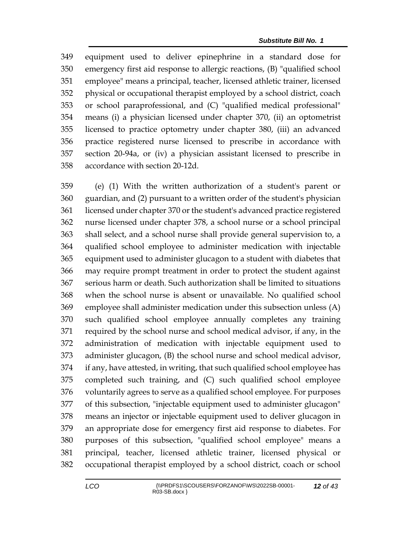equipment used to deliver epinephrine in a standard dose for emergency first aid response to allergic reactions, (B) "qualified school employee" means a principal, teacher, licensed athletic trainer, licensed physical or occupational therapist employed by a school district, coach or school paraprofessional, and (C) "qualified medical professional" means (i) a physician licensed under chapter 370, (ii) an optometrist licensed to practice optometry under chapter 380, (iii) an advanced practice registered nurse licensed to prescribe in accordance with section 20-94a, or (iv) a physician assistant licensed to prescribe in accordance with section 20-12d.

 (e) (1) With the written authorization of a student's parent or guardian, and (2) pursuant to a written order of the student's physician licensed under chapter 370 or the student's advanced practice registered nurse licensed under chapter 378, a school nurse or a school principal shall select, and a school nurse shall provide general supervision to, a qualified school employee to administer medication with injectable equipment used to administer glucagon to a student with diabetes that may require prompt treatment in order to protect the student against serious harm or death. Such authorization shall be limited to situations when the school nurse is absent or unavailable. No qualified school employee shall administer medication under this subsection unless (A) such qualified school employee annually completes any training required by the school nurse and school medical advisor, if any, in the administration of medication with injectable equipment used to administer glucagon, (B) the school nurse and school medical advisor, if any, have attested, in writing, that such qualified school employee has completed such training, and (C) such qualified school employee voluntarily agrees to serve as a qualified school employee. For purposes of this subsection, "injectable equipment used to administer glucagon" means an injector or injectable equipment used to deliver glucagon in an appropriate dose for emergency first aid response to diabetes. For purposes of this subsection, "qualified school employee" means a principal, teacher, licensed athletic trainer, licensed physical or occupational therapist employed by a school district, coach or school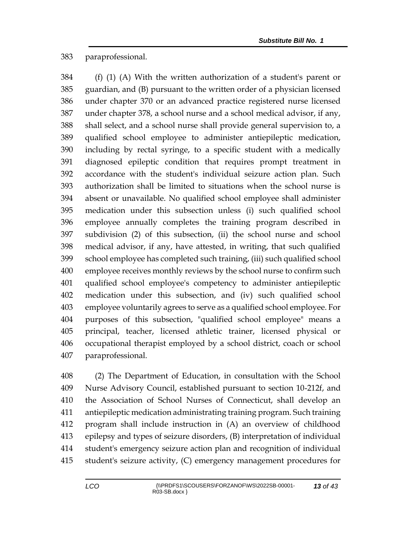## paraprofessional.

 (f) (1) (A) With the written authorization of a student's parent or guardian, and (B) pursuant to the written order of a physician licensed under chapter 370 or an advanced practice registered nurse licensed under chapter 378, a school nurse and a school medical advisor, if any, shall select, and a school nurse shall provide general supervision to, a qualified school employee to administer antiepileptic medication, including by rectal syringe, to a specific student with a medically diagnosed epileptic condition that requires prompt treatment in accordance with the student's individual seizure action plan. Such authorization shall be limited to situations when the school nurse is absent or unavailable. No qualified school employee shall administer medication under this subsection unless (i) such qualified school employee annually completes the training program described in subdivision (2) of this subsection, (ii) the school nurse and school medical advisor, if any, have attested, in writing, that such qualified school employee has completed such training, (iii) such qualified school employee receives monthly reviews by the school nurse to confirm such qualified school employee's competency to administer antiepileptic medication under this subsection, and (iv) such qualified school employee voluntarily agrees to serve as a qualified school employee. For purposes of this subsection, "qualified school employee" means a principal, teacher, licensed athletic trainer, licensed physical or occupational therapist employed by a school district, coach or school paraprofessional.

 (2) The Department of Education, in consultation with the School Nurse Advisory Council, established pursuant to section 10-212f, and the Association of School Nurses of Connecticut, shall develop an antiepileptic medication administrating training program. Such training program shall include instruction in (A) an overview of childhood epilepsy and types of seizure disorders, (B) interpretation of individual student's emergency seizure action plan and recognition of individual student's seizure activity, (C) emergency management procedures for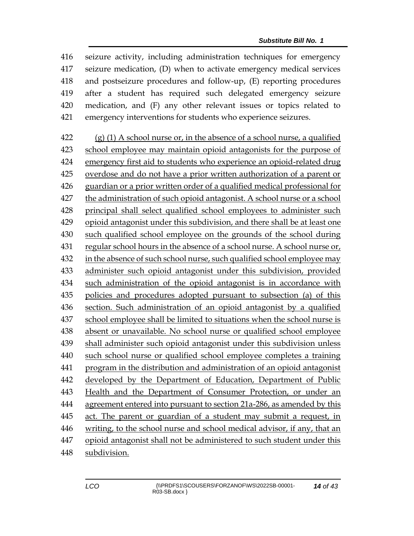seizure activity, including administration techniques for emergency seizure medication, (D) when to activate emergency medical services and postseizure procedures and follow-up, (E) reporting procedures after a student has required such delegated emergency seizure medication, and (F) any other relevant issues or topics related to emergency interventions for students who experience seizures.

 (g) (1) A school nurse or, in the absence of a school nurse, a qualified school employee may maintain opioid antagonists for the purpose of emergency first aid to students who experience an opioid-related drug overdose and do not have a prior written authorization of a parent or guardian or a prior written order of a qualified medical professional for the administration of such opioid antagonist. A school nurse or a school principal shall select qualified school employees to administer such opioid antagonist under this subdivision, and there shall be at least one such qualified school employee on the grounds of the school during regular school hours in the absence of a school nurse. A school nurse or, 432 in the absence of such school nurse, such qualified school employee may administer such opioid antagonist under this subdivision, provided such administration of the opioid antagonist is in accordance with policies and procedures adopted pursuant to subsection (a) of this section. Such administration of an opioid antagonist by a qualified school employee shall be limited to situations when the school nurse is absent or unavailable. No school nurse or qualified school employee shall administer such opioid antagonist under this subdivision unless such school nurse or qualified school employee completes a training program in the distribution and administration of an opioid antagonist developed by the Department of Education, Department of Public Health and the Department of Consumer Protection, or under an agreement entered into pursuant to section 21a-286, as amended by this act. The parent or guardian of a student may submit a request, in writing, to the school nurse and school medical advisor, if any, that an opioid antagonist shall not be administered to such student under this subdivision.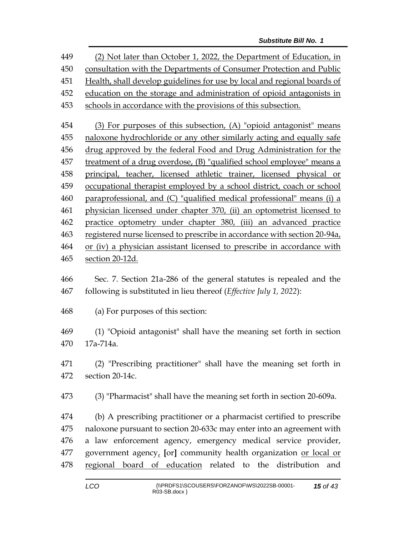(2) Not later than October 1, 2022, the Department of Education, in consultation with the Departments of Consumer Protection and Public Health, shall develop guidelines for use by local and regional boards of education on the storage and administration of opioid antagonists in schools in accordance with the provisions of this subsection. (3) For purposes of this subsection, (A) "opioid antagonist" means naloxone hydrochloride or any other similarly acting and equally safe drug approved by the federal Food and Drug Administration for the treatment of a drug overdose, (B) "qualified school employee" means a principal, teacher, licensed athletic trainer, licensed physical or occupational therapist employed by a school district, coach or school paraprofessional, and (C) "qualified medical professional" means (i) a physician licensed under chapter 370, (ii) an optometrist licensed to practice optometry under chapter 380, (iii) an advanced practice registered nurse licensed to prescribe in accordance with section 20-94a, or (iv) a physician assistant licensed to prescribe in accordance with section 20-12d. Sec. 7. Section 21a-286 of the general statutes is repealed and the following is substituted in lieu thereof (*Effective July 1, 2022*): (a) For purposes of this section: (1) "Opioid antagonist" shall have the meaning set forth in section

17a-714a.

 (2) "Prescribing practitioner" shall have the meaning set forth in section 20-14c.

(3) "Pharmacist" shall have the meaning set forth in section 20-609a.

 (b) A prescribing practitioner or a pharmacist certified to prescribe naloxone pursuant to section 20-633c may enter into an agreement with a law enforcement agency, emergency medical service provider, government agency, **[**or**]** community health organization or local or regional board of education related to the distribution and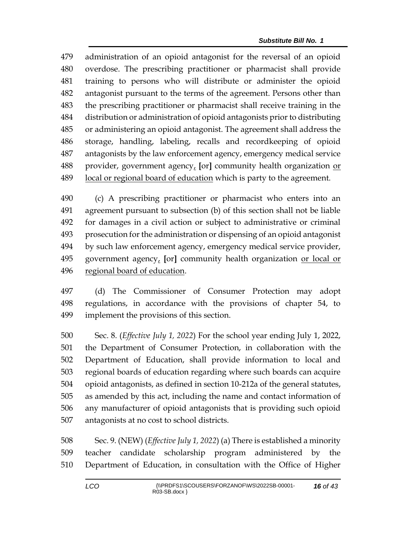administration of an opioid antagonist for the reversal of an opioid overdose. The prescribing practitioner or pharmacist shall provide training to persons who will distribute or administer the opioid antagonist pursuant to the terms of the agreement. Persons other than the prescribing practitioner or pharmacist shall receive training in the distribution or administration of opioid antagonists prior to distributing or administering an opioid antagonist. The agreement shall address the storage, handling, labeling, recalls and recordkeeping of opioid antagonists by the law enforcement agency, emergency medical service provider, government agency, **[**or**]** community health organization or local or regional board of education which is party to the agreement.

 (c) A prescribing practitioner or pharmacist who enters into an agreement pursuant to subsection (b) of this section shall not be liable for damages in a civil action or subject to administrative or criminal prosecution for the administration or dispensing of an opioid antagonist by such law enforcement agency, emergency medical service provider, government agency, **[**or**]** community health organization or local or regional board of education.

 (d) The Commissioner of Consumer Protection may adopt regulations, in accordance with the provisions of chapter 54, to implement the provisions of this section.

 Sec. 8. (*Effective July 1, 2022*) For the school year ending July 1, 2022, the Department of Consumer Protection, in collaboration with the Department of Education, shall provide information to local and regional boards of education regarding where such boards can acquire opioid antagonists, as defined in section 10-212a of the general statutes, as amended by this act, including the name and contact information of any manufacturer of opioid antagonists that is providing such opioid antagonists at no cost to school districts.

 Sec. 9. (NEW) (*Effective July 1, 2022*) (a) There is established a minority teacher candidate scholarship program administered by the Department of Education, in consultation with the Office of Higher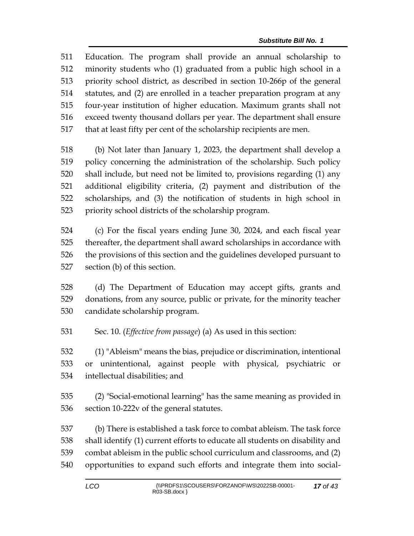Education. The program shall provide an annual scholarship to minority students who (1) graduated from a public high school in a priority school district, as described in section 10-266p of the general statutes, and (2) are enrolled in a teacher preparation program at any four-year institution of higher education. Maximum grants shall not exceed twenty thousand dollars per year. The department shall ensure that at least fifty per cent of the scholarship recipients are men.

 (b) Not later than January 1, 2023, the department shall develop a policy concerning the administration of the scholarship. Such policy shall include, but need not be limited to, provisions regarding (1) any additional eligibility criteria, (2) payment and distribution of the scholarships, and (3) the notification of students in high school in priority school districts of the scholarship program.

 (c) For the fiscal years ending June 30, 2024, and each fiscal year thereafter, the department shall award scholarships in accordance with the provisions of this section and the guidelines developed pursuant to section (b) of this section.

 (d) The Department of Education may accept gifts, grants and donations, from any source, public or private, for the minority teacher candidate scholarship program.

Sec. 10. (*Effective from passage*) (a) As used in this section:

 (1) "Ableism" means the bias, prejudice or discrimination, intentional or unintentional, against people with physical, psychiatric or intellectual disabilities; and

 (2) "Social-emotional learning" has the same meaning as provided in section 10-222v of the general statutes.

 (b) There is established a task force to combat ableism. The task force shall identify (1) current efforts to educate all students on disability and combat ableism in the public school curriculum and classrooms, and (2) opportunities to expand such efforts and integrate them into social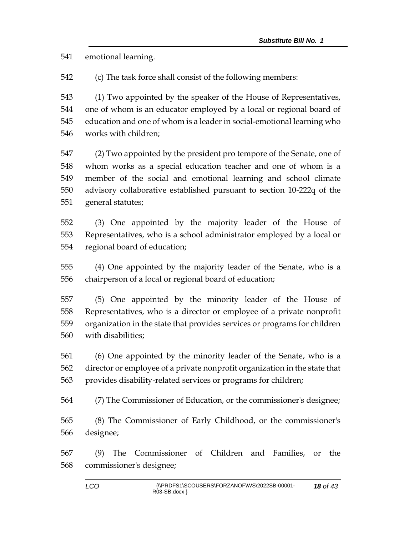emotional learning.

(c) The task force shall consist of the following members:

 (1) Two appointed by the speaker of the House of Representatives, one of whom is an educator employed by a local or regional board of education and one of whom is a leader in social-emotional learning who works with children;

 (2) Two appointed by the president pro tempore of the Senate, one of whom works as a special education teacher and one of whom is a member of the social and emotional learning and school climate advisory collaborative established pursuant to section 10-222q of the general statutes;

 (3) One appointed by the majority leader of the House of Representatives, who is a school administrator employed by a local or regional board of education;

 (4) One appointed by the majority leader of the Senate, who is a chairperson of a local or regional board of education;

 (5) One appointed by the minority leader of the House of Representatives, who is a director or employee of a private nonprofit organization in the state that provides services or programs for children with disabilities;

 (6) One appointed by the minority leader of the Senate, who is a director or employee of a private nonprofit organization in the state that provides disability-related services or programs for children;

(7) The Commissioner of Education, or the commissioner's designee;

 (8) The Commissioner of Early Childhood, or the commissioner's designee;

 (9) The Commissioner of Children and Families, or the commissioner's designee;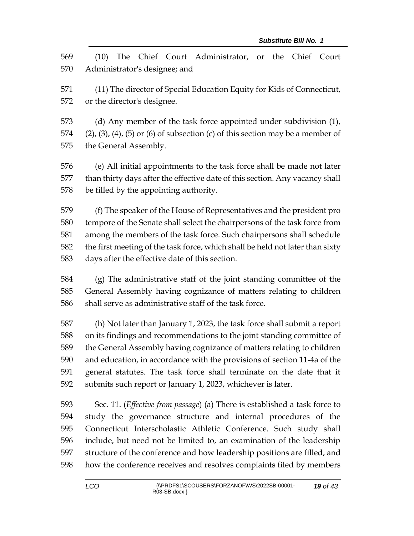(10) The Chief Court Administrator, or the Chief Court Administrator's designee; and (11) The director of Special Education Equity for Kids of Connecticut, or the director's designee. (d) Any member of the task force appointed under subdivision (1), 574 (2), (3), (4), (5) or (6) of subsection (c) of this section may be a member of the General Assembly. (e) All initial appointments to the task force shall be made not later than thirty days after the effective date of this section. Any vacancy shall be filled by the appointing authority. (f) The speaker of the House of Representatives and the president pro tempore of the Senate shall select the chairpersons of the task force from among the members of the task force. Such chairpersons shall schedule the first meeting of the task force, which shall be held not later than sixty days after the effective date of this section. (g) The administrative staff of the joint standing committee of the General Assembly having cognizance of matters relating to children shall serve as administrative staff of the task force. (h) Not later than January 1, 2023, the task force shall submit a report on its findings and recommendations to the joint standing committee of the General Assembly having cognizance of matters relating to children and education, in accordance with the provisions of section 11-4a of the general statutes. The task force shall terminate on the date that it submits such report or January 1, 2023, whichever is later. Sec. 11. (*Effective from passage*) (a) There is established a task force to study the governance structure and internal procedures of the Connecticut Interscholastic Athletic Conference. Such study shall include, but need not be limited to, an examination of the leadership structure of the conference and how leadership positions are filled, and

how the conference receives and resolves complaints filed by members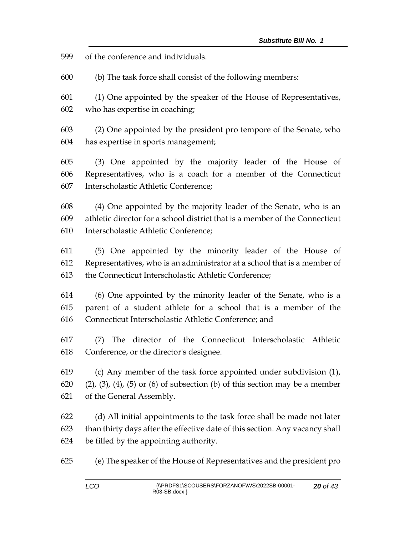of the conference and individuals.

(b) The task force shall consist of the following members:

 (1) One appointed by the speaker of the House of Representatives, who has expertise in coaching;

 (2) One appointed by the president pro tempore of the Senate, who has expertise in sports management;

 (3) One appointed by the majority leader of the House of Representatives, who is a coach for a member of the Connecticut Interscholastic Athletic Conference;

 (4) One appointed by the majority leader of the Senate, who is an athletic director for a school district that is a member of the Connecticut Interscholastic Athletic Conference;

 (5) One appointed by the minority leader of the House of Representatives, who is an administrator at a school that is a member of the Connecticut Interscholastic Athletic Conference;

 (6) One appointed by the minority leader of the Senate, who is a parent of a student athlete for a school that is a member of the Connecticut Interscholastic Athletic Conference; and

 (7) The director of the Connecticut Interscholastic Athletic Conference, or the director's designee.

 (c) Any member of the task force appointed under subdivision (1), (2), (3), (4), (5) or (6) of subsection (b) of this section may be a member of the General Assembly.

 (d) All initial appointments to the task force shall be made not later than thirty days after the effective date of this section. Any vacancy shall be filled by the appointing authority.

(e) The speaker of the House of Representatives and the president pro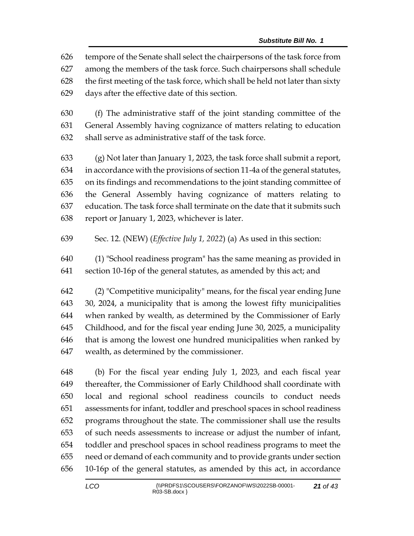tempore of the Senate shall select the chairpersons of the task force from among the members of the task force. Such chairpersons shall schedule the first meeting of the task force, which shall be held not later than sixty days after the effective date of this section.

 (f) The administrative staff of the joint standing committee of the General Assembly having cognizance of matters relating to education shall serve as administrative staff of the task force.

 (g) Not later than January 1, 2023, the task force shall submit a report, in accordance with the provisions of section 11-4a of the general statutes, on its findings and recommendations to the joint standing committee of the General Assembly having cognizance of matters relating to education. The task force shall terminate on the date that it submits such report or January 1, 2023, whichever is later.

- Sec. 12. (NEW) (*Effective July 1, 2022*) (a) As used in this section:
- (1) "School readiness program" has the same meaning as provided in section 10-16p of the general statutes, as amended by this act; and

 (2) "Competitive municipality" means, for the fiscal year ending June 30, 2024, a municipality that is among the lowest fifty municipalities when ranked by wealth, as determined by the Commissioner of Early Childhood, and for the fiscal year ending June 30, 2025, a municipality that is among the lowest one hundred municipalities when ranked by wealth, as determined by the commissioner.

 (b) For the fiscal year ending July 1, 2023, and each fiscal year thereafter, the Commissioner of Early Childhood shall coordinate with local and regional school readiness councils to conduct needs assessments for infant, toddler and preschool spaces in school readiness programs throughout the state. The commissioner shall use the results of such needs assessments to increase or adjust the number of infant, toddler and preschool spaces in school readiness programs to meet the need or demand of each community and to provide grants under section 10-16p of the general statutes, as amended by this act, in accordance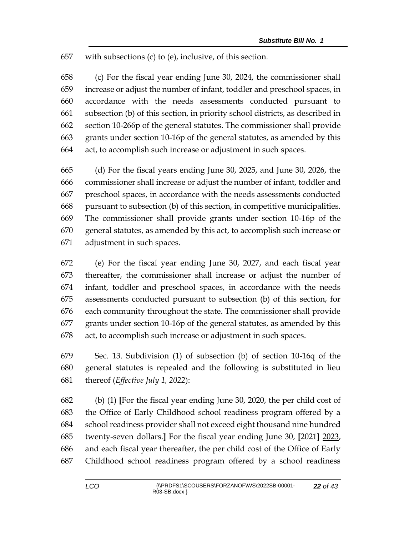with subsections (c) to (e), inclusive, of this section.

 (c) For the fiscal year ending June 30, 2024, the commissioner shall increase or adjust the number of infant, toddler and preschool spaces, in accordance with the needs assessments conducted pursuant to subsection (b) of this section, in priority school districts, as described in section 10-266p of the general statutes. The commissioner shall provide grants under section 10-16p of the general statutes, as amended by this act, to accomplish such increase or adjustment in such spaces.

 (d) For the fiscal years ending June 30, 2025, and June 30, 2026, the commissioner shall increase or adjust the number of infant, toddler and preschool spaces, in accordance with the needs assessments conducted pursuant to subsection (b) of this section, in competitive municipalities. The commissioner shall provide grants under section 10-16p of the general statutes, as amended by this act, to accomplish such increase or adjustment in such spaces.

 (e) For the fiscal year ending June 30, 2027, and each fiscal year thereafter, the commissioner shall increase or adjust the number of infant, toddler and preschool spaces, in accordance with the needs assessments conducted pursuant to subsection (b) of this section, for each community throughout the state. The commissioner shall provide grants under section 10-16p of the general statutes, as amended by this act, to accomplish such increase or adjustment in such spaces.

 Sec. 13. Subdivision (1) of subsection (b) of section 10-16q of the general statutes is repealed and the following is substituted in lieu thereof (*Effective July 1, 2022*):

 (b) (1) **[**For the fiscal year ending June 30, 2020, the per child cost of the Office of Early Childhood school readiness program offered by a school readiness provider shall not exceed eight thousand nine hundred twenty-seven dollars.**]** For the fiscal year ending June 30, **[**2021**]** 2023, and each fiscal year thereafter, the per child cost of the Office of Early Childhood school readiness program offered by a school readiness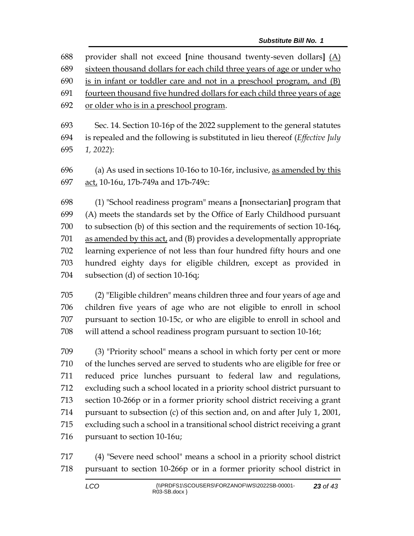| 688 | provider shall not exceed [nine thousand twenty-seven dollars] $(A)$                 |
|-----|--------------------------------------------------------------------------------------|
| 689 | sixteen thousand dollars for each child three years of age or under who              |
| 690 | is in infant or toddler care and not in a preschool program, and (B)                 |
| 691 | fourteen thousand five hundred dollars for each child three years of age             |
| 692 | or older who is in a preschool program.                                              |
| 693 | Sec. 14. Section 10-16p of the 2022 supplement to the general statutes               |
| 694 | is repealed and the following is substituted in lieu thereof ( <i>Effective July</i> |

*1, 2022*):

 (a) As used in sections 10-16o to 10-16r, inclusive, as amended by this act, 10-16u, 17b-749a and 17b-749c:

 (1) "School readiness program" means a **[**nonsectarian**]** program that (A) meets the standards set by the Office of Early Childhood pursuant to subsection (b) of this section and the requirements of section 10-16q, as amended by this act, and (B) provides a developmentally appropriate learning experience of not less than four hundred fifty hours and one hundred eighty days for eligible children, except as provided in subsection (d) of section 10-16q;

 (2) "Eligible children" means children three and four years of age and children five years of age who are not eligible to enroll in school pursuant to section 10-15c, or who are eligible to enroll in school and will attend a school readiness program pursuant to section 10-16t;

 (3) "Priority school" means a school in which forty per cent or more of the lunches served are served to students who are eligible for free or reduced price lunches pursuant to federal law and regulations, excluding such a school located in a priority school district pursuant to section 10-266p or in a former priority school district receiving a grant pursuant to subsection (c) of this section and, on and after July 1, 2001, excluding such a school in a transitional school district receiving a grant pursuant to section 10-16u;

 (4) "Severe need school" means a school in a priority school district pursuant to section 10-266p or in a former priority school district in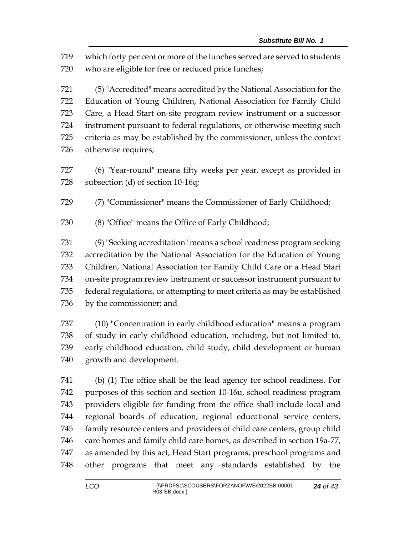which forty per cent or more of the lunches served are served to students who are eligible for free or reduced price lunches;

 (5) "Accredited" means accredited by the National Association for the Education of Young Children, National Association for Family Child Care, a Head Start on-site program review instrument or a successor instrument pursuant to federal regulations, or otherwise meeting such criteria as may be established by the commissioner, unless the context otherwise requires;

 (6) "Year-round" means fifty weeks per year, except as provided in subsection (d) of section 10-16q;

(7) "Commissioner" means the Commissioner of Early Childhood;

(8) "Office" means the Office of Early Childhood;

 (9) "Seeking accreditation" means a school readiness program seeking accreditation by the National Association for the Education of Young Children, National Association for Family Child Care or a Head Start on-site program review instrument or successor instrument pursuant to federal regulations, or attempting to meet criteria as may be established by the commissioner; and

 (10) "Concentration in early childhood education" means a program of study in early childhood education, including, but not limited to, early childhood education, child study, child development or human growth and development.

 (b) (1) The office shall be the lead agency for school readiness. For purposes of this section and section 10-16u, school readiness program providers eligible for funding from the office shall include local and regional boards of education, regional educational service centers, family resource centers and providers of child care centers, group child care homes and family child care homes, as described in section 19a-77, 747 as amended by this act, Head Start programs, preschool programs and other programs that meet any standards established by the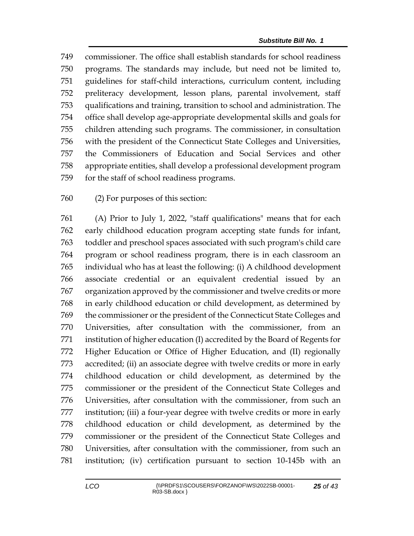commissioner. The office shall establish standards for school readiness programs. The standards may include, but need not be limited to, guidelines for staff-child interactions, curriculum content, including preliteracy development, lesson plans, parental involvement, staff qualifications and training, transition to school and administration. The office shall develop age-appropriate developmental skills and goals for children attending such programs. The commissioner, in consultation with the president of the Connecticut State Colleges and Universities, the Commissioners of Education and Social Services and other appropriate entities, shall develop a professional development program for the staff of school readiness programs.

(2) For purposes of this section:

 (A) Prior to July 1, 2022, "staff qualifications" means that for each early childhood education program accepting state funds for infant, toddler and preschool spaces associated with such program's child care program or school readiness program, there is in each classroom an individual who has at least the following: (i) A childhood development associate credential or an equivalent credential issued by an organization approved by the commissioner and twelve credits or more in early childhood education or child development, as determined by the commissioner or the president of the Connecticut State Colleges and Universities, after consultation with the commissioner, from an institution of higher education (I) accredited by the Board of Regents for Higher Education or Office of Higher Education, and (II) regionally accredited; (ii) an associate degree with twelve credits or more in early childhood education or child development, as determined by the commissioner or the president of the Connecticut State Colleges and Universities, after consultation with the commissioner, from such an institution; (iii) a four-year degree with twelve credits or more in early childhood education or child development, as determined by the commissioner or the president of the Connecticut State Colleges and Universities, after consultation with the commissioner, from such an institution; (iv) certification pursuant to section 10-145b with an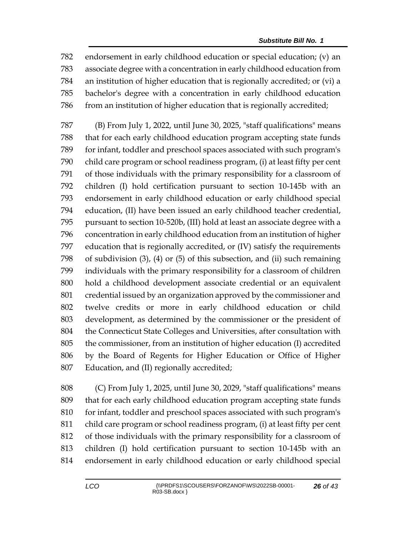endorsement in early childhood education or special education; (v) an associate degree with a concentration in early childhood education from an institution of higher education that is regionally accredited; or (vi) a bachelor's degree with a concentration in early childhood education from an institution of higher education that is regionally accredited;

 (B) From July 1, 2022, until June 30, 2025, "staff qualifications" means that for each early childhood education program accepting state funds for infant, toddler and preschool spaces associated with such program's child care program or school readiness program, (i) at least fifty per cent of those individuals with the primary responsibility for a classroom of children (I) hold certification pursuant to section 10-145b with an endorsement in early childhood education or early childhood special education, (II) have been issued an early childhood teacher credential, pursuant to section 10-520b, (III) hold at least an associate degree with a concentration in early childhood education from an institution of higher education that is regionally accredited, or (IV) satisfy the requirements of subdivision (3), (4) or (5) of this subsection, and (ii) such remaining individuals with the primary responsibility for a classroom of children hold a childhood development associate credential or an equivalent credential issued by an organization approved by the commissioner and twelve credits or more in early childhood education or child development, as determined by the commissioner or the president of the Connecticut State Colleges and Universities, after consultation with the commissioner, from an institution of higher education (I) accredited by the Board of Regents for Higher Education or Office of Higher Education, and (II) regionally accredited;

 (C) From July 1, 2025, until June 30, 2029, "staff qualifications" means that for each early childhood education program accepting state funds 810 for infant, toddler and preschool spaces associated with such program's child care program or school readiness program, (i) at least fifty per cent of those individuals with the primary responsibility for a classroom of children (I) hold certification pursuant to section 10-145b with an endorsement in early childhood education or early childhood special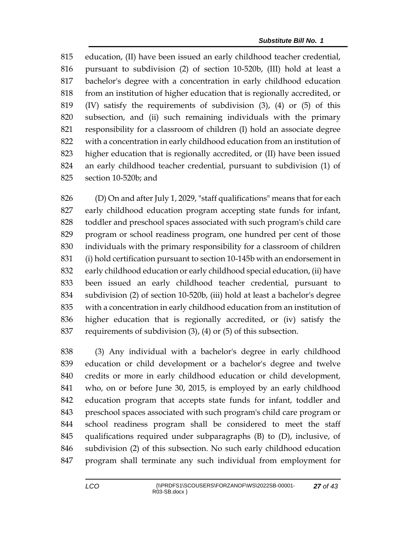education, (II) have been issued an early childhood teacher credential, pursuant to subdivision (2) of section 10-520b, (III) hold at least a bachelor's degree with a concentration in early childhood education from an institution of higher education that is regionally accredited, or (IV) satisfy the requirements of subdivision (3), (4) or (5) of this subsection, and (ii) such remaining individuals with the primary responsibility for a classroom of children (I) hold an associate degree with a concentration in early childhood education from an institution of higher education that is regionally accredited, or (II) have been issued an early childhood teacher credential, pursuant to subdivision (1) of section 10-520b; and

 (D) On and after July 1, 2029, "staff qualifications" means that for each early childhood education program accepting state funds for infant, toddler and preschool spaces associated with such program's child care program or school readiness program, one hundred per cent of those individuals with the primary responsibility for a classroom of children (i) hold certification pursuant to section 10-145b with an endorsement in early childhood education or early childhood special education, (ii) have been issued an early childhood teacher credential, pursuant to subdivision (2) of section 10-520b, (iii) hold at least a bachelor's degree with a concentration in early childhood education from an institution of higher education that is regionally accredited, or (iv) satisfy the requirements of subdivision (3), (4) or (5) of this subsection.

 (3) Any individual with a bachelor's degree in early childhood education or child development or a bachelor's degree and twelve credits or more in early childhood education or child development, who, on or before June 30, 2015, is employed by an early childhood education program that accepts state funds for infant, toddler and preschool spaces associated with such program's child care program or school readiness program shall be considered to meet the staff qualifications required under subparagraphs (B) to (D), inclusive, of subdivision (2) of this subsection. No such early childhood education program shall terminate any such individual from employment for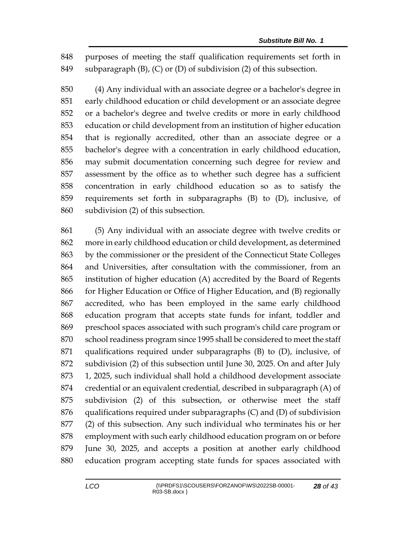purposes of meeting the staff qualification requirements set forth in subparagraph (B), (C) or (D) of subdivision (2) of this subsection.

 (4) Any individual with an associate degree or a bachelor's degree in early childhood education or child development or an associate degree or a bachelor's degree and twelve credits or more in early childhood education or child development from an institution of higher education that is regionally accredited, other than an associate degree or a bachelor's degree with a concentration in early childhood education, may submit documentation concerning such degree for review and assessment by the office as to whether such degree has a sufficient concentration in early childhood education so as to satisfy the requirements set forth in subparagraphs (B) to (D), inclusive, of subdivision (2) of this subsection.

 (5) Any individual with an associate degree with twelve credits or more in early childhood education or child development, as determined by the commissioner or the president of the Connecticut State Colleges and Universities, after consultation with the commissioner, from an institution of higher education (A) accredited by the Board of Regents for Higher Education or Office of Higher Education, and (B) regionally accredited, who has been employed in the same early childhood education program that accepts state funds for infant, toddler and preschool spaces associated with such program's child care program or school readiness program since 1995 shall be considered to meet the staff qualifications required under subparagraphs (B) to (D), inclusive, of subdivision (2) of this subsection until June 30, 2025. On and after July 1, 2025, such individual shall hold a childhood development associate credential or an equivalent credential, described in subparagraph (A) of subdivision (2) of this subsection, or otherwise meet the staff qualifications required under subparagraphs (C) and (D) of subdivision (2) of this subsection. Any such individual who terminates his or her employment with such early childhood education program on or before June 30, 2025, and accepts a position at another early childhood education program accepting state funds for spaces associated with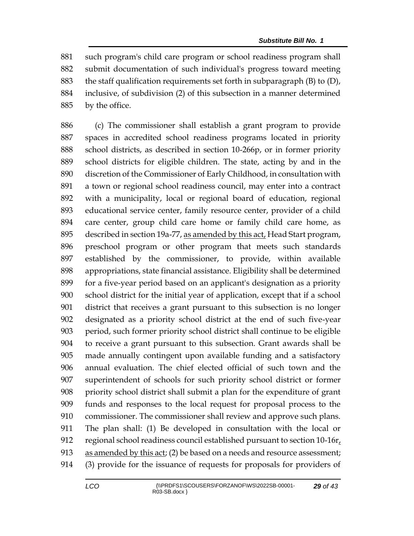such program's child care program or school readiness program shall submit documentation of such individual's progress toward meeting 883 the staff qualification requirements set forth in subparagraph  $(B)$  to  $(D)$ , inclusive, of subdivision (2) of this subsection in a manner determined by the office.

 (c) The commissioner shall establish a grant program to provide spaces in accredited school readiness programs located in priority school districts, as described in section 10-266p, or in former priority school districts for eligible children. The state, acting by and in the discretion of the Commissioner of Early Childhood, in consultation with a town or regional school readiness council, may enter into a contract with a municipality, local or regional board of education, regional educational service center, family resource center, provider of a child care center, group child care home or family child care home, as described in section 19a-77, as amended by this act, Head Start program, preschool program or other program that meets such standards established by the commissioner, to provide, within available appropriations, state financial assistance. Eligibility shall be determined for a five-year period based on an applicant's designation as a priority school district for the initial year of application, except that if a school district that receives a grant pursuant to this subsection is no longer designated as a priority school district at the end of such five-year period, such former priority school district shall continue to be eligible to receive a grant pursuant to this subsection. Grant awards shall be made annually contingent upon available funding and a satisfactory annual evaluation. The chief elected official of such town and the superintendent of schools for such priority school district or former priority school district shall submit a plan for the expenditure of grant funds and responses to the local request for proposal process to the commissioner. The commissioner shall review and approve such plans. The plan shall: (1) Be developed in consultation with the local or regional school readiness council established pursuant to section 10-16r, 913 as amended by this act; (2) be based on a needs and resource assessment; (3) provide for the issuance of requests for proposals for providers of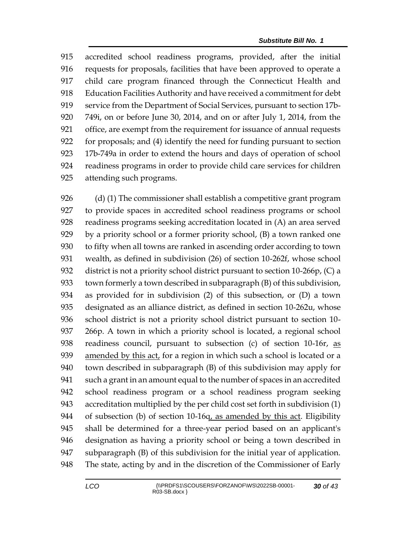accredited school readiness programs, provided, after the initial requests for proposals, facilities that have been approved to operate a child care program financed through the Connecticut Health and Education Facilities Authority and have received a commitment for debt service from the Department of Social Services, pursuant to section 17b- 749i, on or before June 30, 2014, and on or after July 1, 2014, from the office, are exempt from the requirement for issuance of annual requests for proposals; and (4) identify the need for funding pursuant to section 17b-749a in order to extend the hours and days of operation of school readiness programs in order to provide child care services for children attending such programs.

 (d) (1) The commissioner shall establish a competitive grant program to provide spaces in accredited school readiness programs or school readiness programs seeking accreditation located in (A) an area served by a priority school or a former priority school, (B) a town ranked one to fifty when all towns are ranked in ascending order according to town wealth, as defined in subdivision (26) of section 10-262f, whose school district is not a priority school district pursuant to section 10-266p, (C) a town formerly a town described in subparagraph (B) of this subdivision, as provided for in subdivision (2) of this subsection, or (D) a town designated as an alliance district, as defined in section 10-262u, whose school district is not a priority school district pursuant to section 10- 266p. A town in which a priority school is located, a regional school readiness council, pursuant to subsection (c) of section 10-16r, as amended by this act, for a region in which such a school is located or a town described in subparagraph (B) of this subdivision may apply for such a grant in an amount equal to the number of spaces in an accredited school readiness program or a school readiness program seeking accreditation multiplied by the per child cost set forth in subdivision (1) 944 of subsection (b) of section 10-16q, as amended by this act. Eligibility shall be determined for a three-year period based on an applicant's designation as having a priority school or being a town described in subparagraph (B) of this subdivision for the initial year of application. The state, acting by and in the discretion of the Commissioner of Early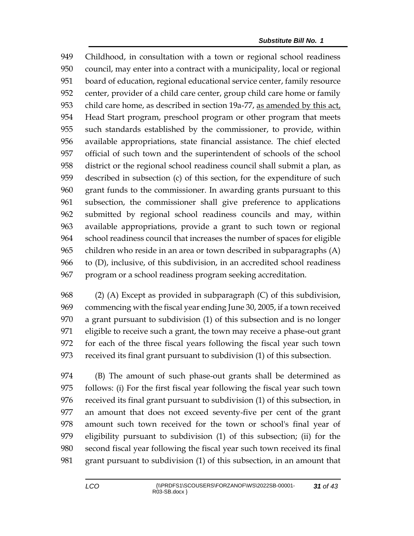Childhood, in consultation with a town or regional school readiness council, may enter into a contract with a municipality, local or regional board of education, regional educational service center, family resource center, provider of a child care center, group child care home or family 953 child care home, as described in section 19a-77, as amended by this act, Head Start program, preschool program or other program that meets such standards established by the commissioner, to provide, within available appropriations, state financial assistance. The chief elected official of such town and the superintendent of schools of the school district or the regional school readiness council shall submit a plan, as described in subsection (c) of this section, for the expenditure of such grant funds to the commissioner. In awarding grants pursuant to this subsection, the commissioner shall give preference to applications submitted by regional school readiness councils and may, within available appropriations, provide a grant to such town or regional school readiness council that increases the number of spaces for eligible children who reside in an area or town described in subparagraphs (A) to (D), inclusive, of this subdivision, in an accredited school readiness program or a school readiness program seeking accreditation.

 (2) (A) Except as provided in subparagraph (C) of this subdivision, commencing with the fiscal year ending June 30, 2005, if a town received a grant pursuant to subdivision (1) of this subsection and is no longer eligible to receive such a grant, the town may receive a phase-out grant for each of the three fiscal years following the fiscal year such town received its final grant pursuant to subdivision (1) of this subsection.

 (B) The amount of such phase-out grants shall be determined as follows: (i) For the first fiscal year following the fiscal year such town received its final grant pursuant to subdivision (1) of this subsection, in an amount that does not exceed seventy-five per cent of the grant amount such town received for the town or school's final year of eligibility pursuant to subdivision (1) of this subsection; (ii) for the second fiscal year following the fiscal year such town received its final grant pursuant to subdivision (1) of this subsection, in an amount that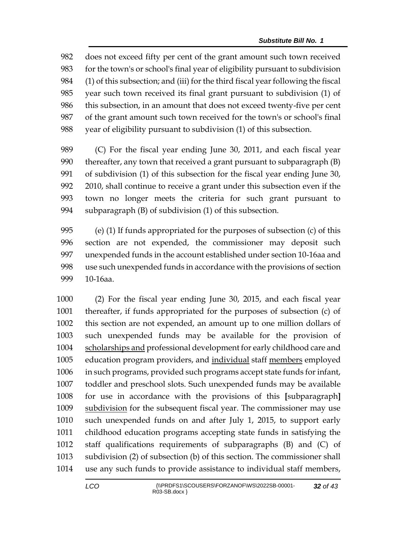does not exceed fifty per cent of the grant amount such town received for the town's or school's final year of eligibility pursuant to subdivision (1) of this subsection; and (iii) for the third fiscal year following the fiscal year such town received its final grant pursuant to subdivision (1) of this subsection, in an amount that does not exceed twenty-five per cent of the grant amount such town received for the town's or school's final year of eligibility pursuant to subdivision (1) of this subsection.

 (C) For the fiscal year ending June 30, 2011, and each fiscal year thereafter, any town that received a grant pursuant to subparagraph (B) of subdivision (1) of this subsection for the fiscal year ending June 30, 2010, shall continue to receive a grant under this subsection even if the town no longer meets the criteria for such grant pursuant to subparagraph (B) of subdivision (1) of this subsection.

 (e) (1) If funds appropriated for the purposes of subsection (c) of this section are not expended, the commissioner may deposit such unexpended funds in the account established under section 10-16aa and use such unexpended funds in accordance with the provisions of section 10-16aa.

 (2) For the fiscal year ending June 30, 2015, and each fiscal year thereafter, if funds appropriated for the purposes of subsection (c) of this section are not expended, an amount up to one million dollars of such unexpended funds may be available for the provision of scholarships and professional development for early childhood care and education program providers, and individual staff members employed in such programs, provided such programs accept state funds for infant, toddler and preschool slots. Such unexpended funds may be available for use in accordance with the provisions of this **[**subparagraph**]** 1009 subdivision for the subsequent fiscal year. The commissioner may use such unexpended funds on and after July 1, 2015, to support early childhood education programs accepting state funds in satisfying the staff qualifications requirements of subparagraphs (B) and (C) of subdivision (2) of subsection (b) of this section. The commissioner shall use any such funds to provide assistance to individual staff members,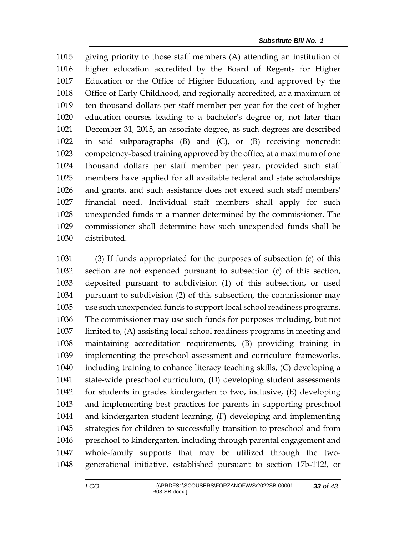giving priority to those staff members (A) attending an institution of higher education accredited by the Board of Regents for Higher Education or the Office of Higher Education, and approved by the Office of Early Childhood, and regionally accredited, at a maximum of ten thousand dollars per staff member per year for the cost of higher education courses leading to a bachelor's degree or, not later than December 31, 2015, an associate degree, as such degrees are described in said subparagraphs (B) and (C), or (B) receiving noncredit competency-based training approved by the office, at a maximum of one thousand dollars per staff member per year, provided such staff members have applied for all available federal and state scholarships and grants, and such assistance does not exceed such staff members' financial need. Individual staff members shall apply for such unexpended funds in a manner determined by the commissioner. The commissioner shall determine how such unexpended funds shall be distributed.

 (3) If funds appropriated for the purposes of subsection (c) of this section are not expended pursuant to subsection (c) of this section, deposited pursuant to subdivision (1) of this subsection, or used pursuant to subdivision (2) of this subsection, the commissioner may use such unexpended funds to support local school readiness programs. The commissioner may use such funds for purposes including, but not limited to, (A) assisting local school readiness programs in meeting and maintaining accreditation requirements, (B) providing training in implementing the preschool assessment and curriculum frameworks, including training to enhance literacy teaching skills, (C) developing a state-wide preschool curriculum, (D) developing student assessments for students in grades kindergarten to two, inclusive, (E) developing and implementing best practices for parents in supporting preschool and kindergarten student learning, (F) developing and implementing strategies for children to successfully transition to preschool and from preschool to kindergarten, including through parental engagement and whole-family supports that may be utilized through the two-generational initiative, established pursuant to section 17b-112*l*, or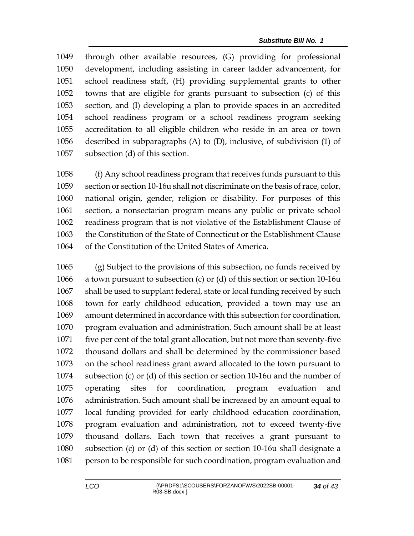through other available resources, (G) providing for professional development, including assisting in career ladder advancement, for school readiness staff, (H) providing supplemental grants to other towns that are eligible for grants pursuant to subsection (c) of this section, and (I) developing a plan to provide spaces in an accredited school readiness program or a school readiness program seeking accreditation to all eligible children who reside in an area or town described in subparagraphs (A) to (D), inclusive, of subdivision (1) of subsection (d) of this section.

 (f) Any school readiness program that receives funds pursuant to this section or section 10-16u shall not discriminate on the basis of race, color, national origin, gender, religion or disability. For purposes of this section, a nonsectarian program means any public or private school readiness program that is not violative of the Establishment Clause of the Constitution of the State of Connecticut or the Establishment Clause of the Constitution of the United States of America.

 (g) Subject to the provisions of this subsection, no funds received by a town pursuant to subsection (c) or (d) of this section or section 10-16u shall be used to supplant federal, state or local funding received by such town for early childhood education, provided a town may use an amount determined in accordance with this subsection for coordination, program evaluation and administration. Such amount shall be at least five per cent of the total grant allocation, but not more than seventy-five thousand dollars and shall be determined by the commissioner based on the school readiness grant award allocated to the town pursuant to subsection (c) or (d) of this section or section 10-16u and the number of operating sites for coordination, program evaluation and administration. Such amount shall be increased by an amount equal to local funding provided for early childhood education coordination, program evaluation and administration, not to exceed twenty-five thousand dollars. Each town that receives a grant pursuant to subsection (c) or (d) of this section or section 10-16u shall designate a person to be responsible for such coordination, program evaluation and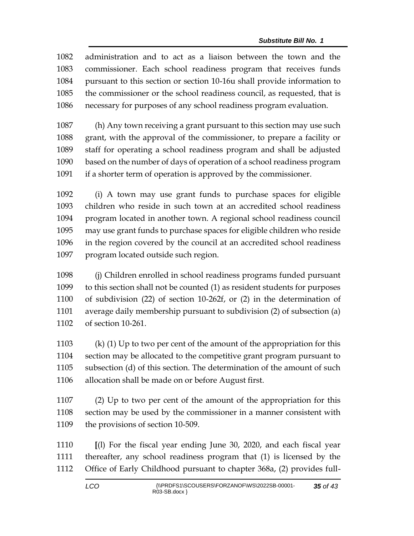administration and to act as a liaison between the town and the commissioner. Each school readiness program that receives funds pursuant to this section or section 10-16u shall provide information to the commissioner or the school readiness council, as requested, that is necessary for purposes of any school readiness program evaluation.

 (h) Any town receiving a grant pursuant to this section may use such grant, with the approval of the commissioner, to prepare a facility or staff for operating a school readiness program and shall be adjusted based on the number of days of operation of a school readiness program if a shorter term of operation is approved by the commissioner.

 (i) A town may use grant funds to purchase spaces for eligible children who reside in such town at an accredited school readiness program located in another town. A regional school readiness council may use grant funds to purchase spaces for eligible children who reside in the region covered by the council at an accredited school readiness program located outside such region.

 (j) Children enrolled in school readiness programs funded pursuant to this section shall not be counted (1) as resident students for purposes of subdivision (22) of section 10-262f, or (2) in the determination of average daily membership pursuant to subdivision (2) of subsection (a) of section 10-261.

 (k) (1) Up to two per cent of the amount of the appropriation for this section may be allocated to the competitive grant program pursuant to subsection (d) of this section. The determination of the amount of such allocation shall be made on or before August first.

 (2) Up to two per cent of the amount of the appropriation for this section may be used by the commissioner in a manner consistent with the provisions of section 10-509.

 **[**(l) For the fiscal year ending June 30, 2020, and each fiscal year thereafter, any school readiness program that (1) is licensed by the Office of Early Childhood pursuant to chapter 368a, (2) provides full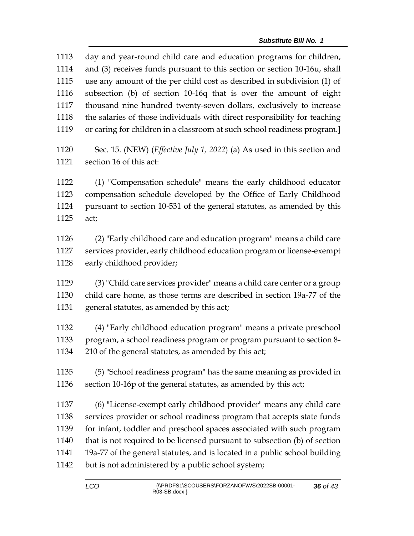day and year-round child care and education programs for children, and (3) receives funds pursuant to this section or section 10-16u, shall use any amount of the per child cost as described in subdivision (1) of subsection (b) of section 10-16q that is over the amount of eight thousand nine hundred twenty-seven dollars, exclusively to increase the salaries of those individuals with direct responsibility for teaching or caring for children in a classroom at such school readiness program.**]** Sec. 15. (NEW) (*Effective July 1, 2022*) (a) As used in this section and section 16 of this act: (1) "Compensation schedule" means the early childhood educator compensation schedule developed by the Office of Early Childhood pursuant to section 10-531 of the general statutes, as amended by this act; (2) "Early childhood care and education program" means a child care services provider, early childhood education program or license-exempt early childhood provider; (3) "Child care services provider" means a child care center or a group child care home, as those terms are described in section 19a-77 of the general statutes, as amended by this act; (4) "Early childhood education program" means a private preschool program, a school readiness program or program pursuant to section 8- 210 of the general statutes, as amended by this act; (5) "School readiness program" has the same meaning as provided in section 10-16p of the general statutes, as amended by this act; (6) "License-exempt early childhood provider" means any child care services provider or school readiness program that accepts state funds for infant, toddler and preschool spaces associated with such program that is not required to be licensed pursuant to subsection (b) of section 19a-77 of the general statutes, and is located in a public school building but is not administered by a public school system;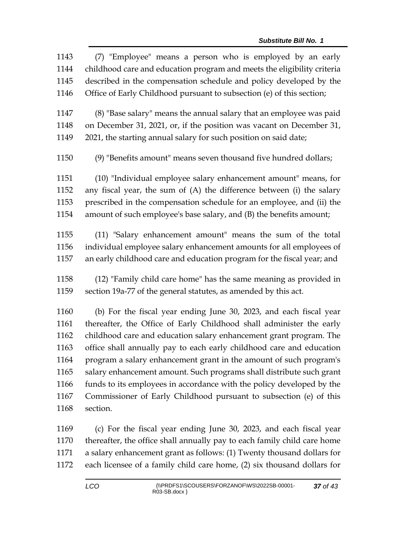| 1143 | (7) "Employee" means a person who is employed by an early               |
|------|-------------------------------------------------------------------------|
| 1144 | childhood care and education program and meets the eligibility criteria |
| 1145 | described in the compensation schedule and policy developed by the      |
| 1146 | Office of Early Childhood pursuant to subsection (e) of this section;   |
|      |                                                                         |
| 1147 | (8) "Base salary" means the annual salary that an employee was paid     |
| 1148 | on December 31, 2021, or, if the position was vacant on December 31,    |
| 1149 | 2021, the starting annual salary for such position on said date;        |
| 1150 | (9) "Benefits amount" means seven thousand five hundred dollars;        |
| 1151 | (10) "Individual employee salary enhancement amount" means, for         |
| 1152 | any fiscal year, the sum of (A) the difference between (i) the salary   |
| 1153 | prescribed in the compensation schedule for an employee, and (ii) the   |
| 1154 | amount of such employee's base salary, and (B) the benefits amount;     |
| 1155 | (11) "Salary enhancement amount" means the sum of the total             |
| 1156 | individual employee salary enhancement amounts for all employees of     |
| 1157 | an early childhood care and education program for the fiscal year; and  |
|      |                                                                         |
| 1158 | (12) "Family child care home" has the same meaning as provided in       |
| 1159 | section 19a-77 of the general statutes, as amended by this act.         |
| 1160 | (b) For the fiscal year ending June 30, 2023, and each fiscal year      |
| 1161 | thereafter, the Office of Early Childhood shall administer the early    |
| 1162 | childhood care and education salary enhancement grant program. The      |
| 1163 | office shall annually pay to each early childhood care and education    |
| 1164 | program a salary enhancement grant in the amount of such program's      |
| 1165 | salary enhancement amount. Such programs shall distribute such grant    |
| 1166 | funds to its employees in accordance with the policy developed by the   |
| 1167 | Commissioner of Early Childhood pursuant to subsection (e) of this      |
| 1168 | section.                                                                |
|      |                                                                         |
|      |                                                                         |

 (c) For the fiscal year ending June 30, 2023, and each fiscal year thereafter, the office shall annually pay to each family child care home a salary enhancement grant as follows: (1) Twenty thousand dollars for each licensee of a family child care home, (2) six thousand dollars for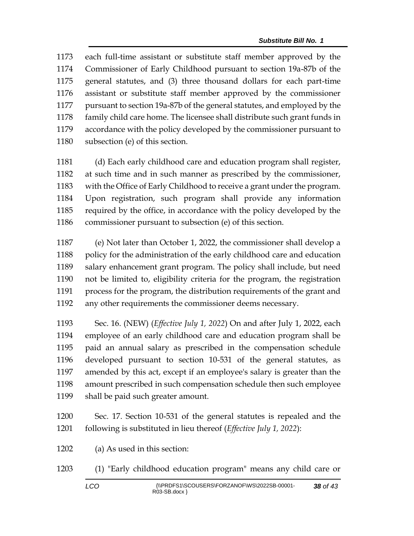each full-time assistant or substitute staff member approved by the Commissioner of Early Childhood pursuant to section 19a-87b of the general statutes, and (3) three thousand dollars for each part-time assistant or substitute staff member approved by the commissioner pursuant to section 19a-87b of the general statutes, and employed by the family child care home. The licensee shall distribute such grant funds in accordance with the policy developed by the commissioner pursuant to subsection (e) of this section.

 (d) Each early childhood care and education program shall register, at such time and in such manner as prescribed by the commissioner, with the Office of Early Childhood to receive a grant under the program. Upon registration, such program shall provide any information required by the office, in accordance with the policy developed by the commissioner pursuant to subsection (e) of this section.

 (e) Not later than October 1, 2022, the commissioner shall develop a 1188 policy for the administration of the early childhood care and education salary enhancement grant program. The policy shall include, but need not be limited to, eligibility criteria for the program, the registration process for the program, the distribution requirements of the grant and any other requirements the commissioner deems necessary.

 Sec. 16. (NEW) (*Effective July 1, 2022*) On and after July 1, 2022, each employee of an early childhood care and education program shall be paid an annual salary as prescribed in the compensation schedule developed pursuant to section 10-531 of the general statutes, as amended by this act, except if an employee's salary is greater than the amount prescribed in such compensation schedule then such employee shall be paid such greater amount.

 Sec. 17. Section 10-531 of the general statutes is repealed and the following is substituted in lieu thereof (*Effective July 1, 2022*):

(a) As used in this section:

(1) "Early childhood education program" means any child care or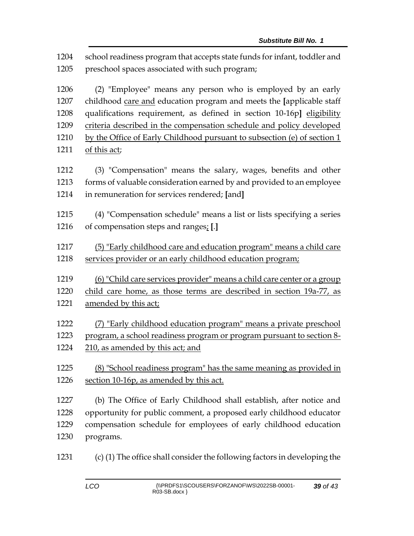school readiness program that accepts state funds for infant, toddler and preschool spaces associated with such program;

 (2) "Employee" means any person who is employed by an early childhood care and education program and meets the **[**applicable staff qualifications requirement, as defined in section 10-16p**]** eligibility criteria described in the compensation schedule and policy developed by the Office of Early Childhood pursuant to subsection (e) of section 1 1211 of this act;

 (3) "Compensation" means the salary, wages, benefits and other forms of valuable consideration earned by and provided to an employee in remuneration for services rendered; **[**and**]**

 (4) "Compensation schedule" means a list or lists specifying a series of compensation steps and ranges; **[**.**]**

 (5) "Early childhood care and education program" means a child care services provider or an early childhood education program;

(6) "Child care services provider" means a child care center or a group

child care home, as those terms are described in section 19a-77, as

- amended by this act;
- (7) "Early childhood education program" means a private preschool program, a school readiness program or program pursuant to section 8- 210, as amended by this act; and
- (8) "School readiness program" has the same meaning as provided in section 10-16p, as amended by this act.

 (b) The Office of Early Childhood shall establish, after notice and opportunity for public comment, a proposed early childhood educator compensation schedule for employees of early childhood education programs.

(c) (1) The office shall consider the following factors in developing the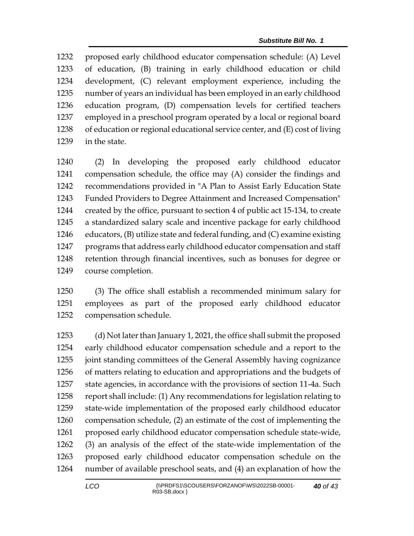proposed early childhood educator compensation schedule: (A) Level of education, (B) training in early childhood education or child development, (C) relevant employment experience, including the number of years an individual has been employed in an early childhood education program, (D) compensation levels for certified teachers employed in a preschool program operated by a local or regional board of education or regional educational service center, and (E) cost of living in the state.

 (2) In developing the proposed early childhood educator compensation schedule, the office may (A) consider the findings and recommendations provided in "A Plan to Assist Early Education State Funded Providers to Degree Attainment and Increased Compensation" created by the office, pursuant to section 4 of public act 15-134, to create a standardized salary scale and incentive package for early childhood educators, (B) utilize state and federal funding, and (C) examine existing programs that address early childhood educator compensation and staff retention through financial incentives, such as bonuses for degree or course completion.

 (3) The office shall establish a recommended minimum salary for employees as part of the proposed early childhood educator compensation schedule.

 (d) Not later than January 1, 2021, the office shall submit the proposed early childhood educator compensation schedule and a report to the joint standing committees of the General Assembly having cognizance of matters relating to education and appropriations and the budgets of state agencies, in accordance with the provisions of section 11-4a. Such report shall include: (1) Any recommendations for legislation relating to state-wide implementation of the proposed early childhood educator compensation schedule, (2) an estimate of the cost of implementing the proposed early childhood educator compensation schedule state-wide, (3) an analysis of the effect of the state-wide implementation of the proposed early childhood educator compensation schedule on the number of available preschool seats, and (4) an explanation of how the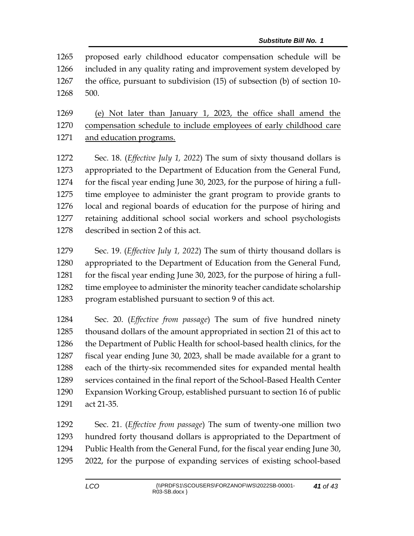proposed early childhood educator compensation schedule will be included in any quality rating and improvement system developed by the office, pursuant to subdivision (15) of subsection (b) of section 10- 500.

 (e) Not later than January 1, 2023, the office shall amend the compensation schedule to include employees of early childhood care and education programs.

 Sec. 18. (*Effective July 1, 2022*) The sum of sixty thousand dollars is appropriated to the Department of Education from the General Fund, for the fiscal year ending June 30, 2023, for the purpose of hiring a full- time employee to administer the grant program to provide grants to local and regional boards of education for the purpose of hiring and retaining additional school social workers and school psychologists described in section 2 of this act.

 Sec. 19. (*Effective July 1, 2022*) The sum of thirty thousand dollars is appropriated to the Department of Education from the General Fund, 1281 for the fiscal year ending June 30, 2023, for the purpose of hiring a full-1282 time employee to administer the minority teacher candidate scholarship program established pursuant to section 9 of this act.

 Sec. 20. (*Effective from passage*) The sum of five hundred ninety thousand dollars of the amount appropriated in section 21 of this act to the Department of Public Health for school-based health clinics, for the fiscal year ending June 30, 2023, shall be made available for a grant to each of the thirty-six recommended sites for expanded mental health services contained in the final report of the School-Based Health Center Expansion Working Group, established pursuant to section 16 of public act 21-35.

 Sec. 21. (*Effective from passage*) The sum of twenty-one million two hundred forty thousand dollars is appropriated to the Department of Public Health from the General Fund, for the fiscal year ending June 30, 2022, for the purpose of expanding services of existing school-based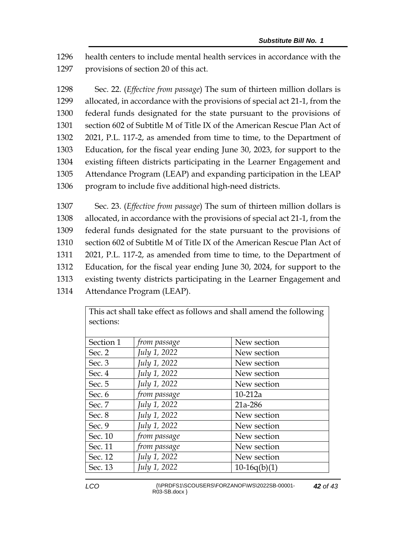1296 health centers to include mental health services in accordance with the 1297 provisions of section 20 of this act.

 Sec. 22. (*Effective from passage*) The sum of thirteen million dollars is allocated, in accordance with the provisions of special act 21-1, from the federal funds designated for the state pursuant to the provisions of section 602 of Subtitle M of Title IX of the American Rescue Plan Act of 2021, P.L. 117-2, as amended from time to time, to the Department of Education, for the fiscal year ending June 30, 2023, for support to the existing fifteen districts participating in the Learner Engagement and Attendance Program (LEAP) and expanding participation in the LEAP program to include five additional high-need districts.

 Sec. 23. (*Effective from passage*) The sum of thirteen million dollars is allocated, in accordance with the provisions of special act 21-1, from the federal funds designated for the state pursuant to the provisions of section 602 of Subtitle M of Title IX of the American Rescue Plan Act of 2021, P.L. 117-2, as amended from time to time, to the Department of Education, for the fiscal year ending June 30, 2024, for support to the existing twenty districts participating in the Learner Engagement and Attendance Program (LEAP).

> This act shall take effect as follows and shall amend the following sections:

| Section 1 | from passage | New section    |
|-----------|--------------|----------------|
| Sec. 2    | July 1, 2022 | New section    |
| Sec. 3    | July 1, 2022 | New section    |
| Sec. 4    | July 1, 2022 | New section    |
| Sec. 5    | July 1, 2022 | New section    |
| Sec. 6    | from passage | $10-212a$      |
| Sec. 7    | July 1, 2022 | 21a-286        |
| Sec. 8    | July 1, 2022 | New section    |
| Sec. 9    | July 1, 2022 | New section    |
| Sec. 10   | from passage | New section    |
| Sec. 11   | from passage | New section    |
| Sec. 12   | July 1, 2022 | New section    |
| Sec. 13   | July 1, 2022 | $10-16q(b)(1)$ |